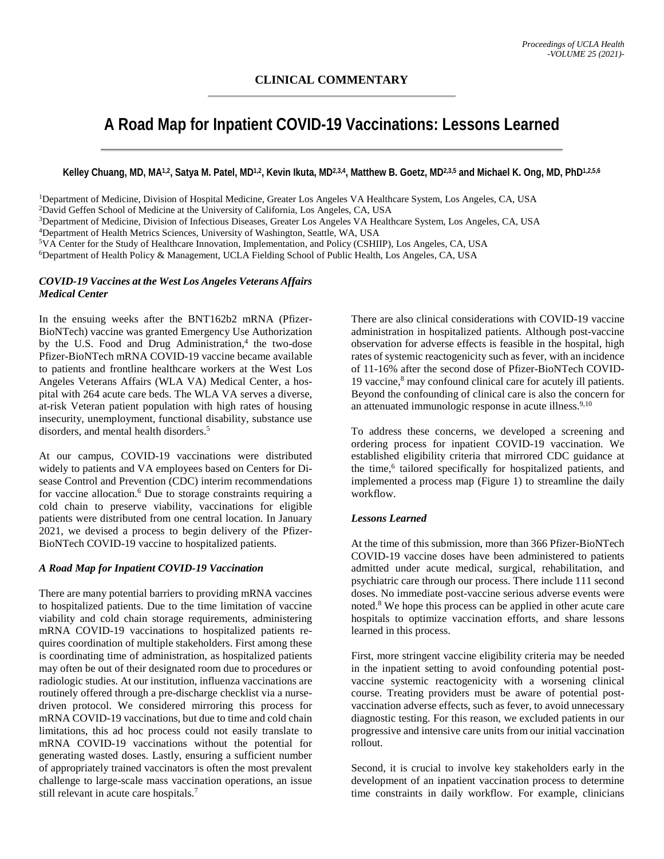# **A Road Map for Inpatient COVID-19 Vaccinations: Lessons Learned**

**Kelley Chuang, MD, MA1,2, Satya M. Patel, MD1,2, Kevin Ikuta, MD2,3,4, Matthew B. Goetz, MD2,3,5 and Michael K. Ong, MD, PhD1,2,5,6**

1Department of Medicine, Division of Hospital Medicine, Greater Los Angeles VA Healthcare System, Los Angeles, CA, USA 2David Geffen School of Medicine at the University of California, Los Angeles, CA, USA 3Department of Medicine, Division of Infectious Diseases, Greater Los Angeles VA Healthcare System, Los Angeles, CA, USA 4Department of Health Metrics Sciences, University of Washington, Seattle, WA, USA 5VA Center for the Study of Healthcare Innovation, Implementation, and Policy (CSHIIP), Los Angeles, CA, USA 6Department of Health Policy & Management, UCLA Fielding School of Public Health, Los Angeles, CA, USA

# *COVID-19 Vaccines at the West Los Angeles Veterans Affairs Medical Center*

In the ensuing weeks after the BNT162b2 mRNA (Pfizer-BioNTech) vaccine was granted Emergency Use Authorization by the U.S. Food and Drug Administration, $4$  the two-dose Pfizer-BioNTech mRNA COVID-19 vaccine became available to patients and frontline healthcare workers at the West Los Angeles Veterans Affairs (WLA VA) Medical Center, a hospital with 264 acute care beds. The WLA VA serves a diverse, at-risk Veteran patient population with high rates of housing insecurity, unemployment, functional disability, substance use disorders, and mental health disorders.<sup>5</sup>

At our campus, COVID-19 vaccinations were distributed widely to patients and VA employees based on Centers for Disease Control and Prevention (CDC) interim recommendations for vaccine allocation.<sup>6</sup> Due to storage constraints requiring a cold chain to preserve viability, vaccinations for eligible patients were distributed from one central location. In January 2021, we devised a process to begin delivery of the Pfizer-BioNTech COVID-19 vaccine to hospitalized patients.

# *A Road Map for Inpatient COVID-19 Vaccination*

There are many potential barriers to providing mRNA vaccines to hospitalized patients. Due to the time limitation of vaccine viability and cold chain storage requirements, administering mRNA COVID-19 vaccinations to hospitalized patients requires coordination of multiple stakeholders. First among these is coordinating time of administration, as hospitalized patients may often be out of their designated room due to procedures or radiologic studies. At our institution, influenza vaccinations are routinely offered through a pre-discharge checklist via a nursedriven protocol. We considered mirroring this process for mRNA COVID-19 vaccinations, but due to time and cold chain limitations, this ad hoc process could not easily translate to mRNA COVID-19 vaccinations without the potential for generating wasted doses. Lastly, ensuring a sufficient number of appropriately trained vaccinators is often the most prevalent challenge to large-scale mass vaccination operations, an issue still relevant in acute care hospitals.<sup>7</sup>

There are also clinical considerations with COVID-19 vaccine administration in hospitalized patients. Although post-vaccine observation for adverse effects is feasible in the hospital, high rates of systemic reactogenicity such as fever, with an incidence of 11-16% after the second dose of Pfizer-BioNTech COVID-19 vaccine,8 may confound clinical care for acutely ill patients. Beyond the confounding of clinical care is also the concern for an attenuated immunologic response in acute illness.<sup>9,10</sup>

To address these concerns, we developed a screening and ordering process for inpatient COVID-19 vaccination. We established eligibility criteria that mirrored CDC guidance at the time,<sup>6</sup> tailored specifically for hospitalized patients, and implemented a process map (Figure 1) to streamline the daily workflow.

# *Lessons Learned*

At the time of this submission, more than 366 Pfizer-BioNTech COVID-19 vaccine doses have been administered to patients admitted under acute medical, surgical, rehabilitation, and psychiatric care through our process. There include 111 second doses. No immediate post-vaccine serious adverse events were noted.<sup>8</sup> We hope this process can be applied in other acute care hospitals to optimize vaccination efforts, and share lessons learned in this process.

First, more stringent vaccine eligibility criteria may be needed in the inpatient setting to avoid confounding potential postvaccine systemic reactogenicity with a worsening clinical course. Treating providers must be aware of potential postvaccination adverse effects, such as fever, to avoid unnecessary diagnostic testing. For this reason, we excluded patients in our progressive and intensive care units from our initial vaccination rollout.

Second, it is crucial to involve key stakeholders early in the development of an inpatient vaccination process to determine time constraints in daily workflow. For example, clinicians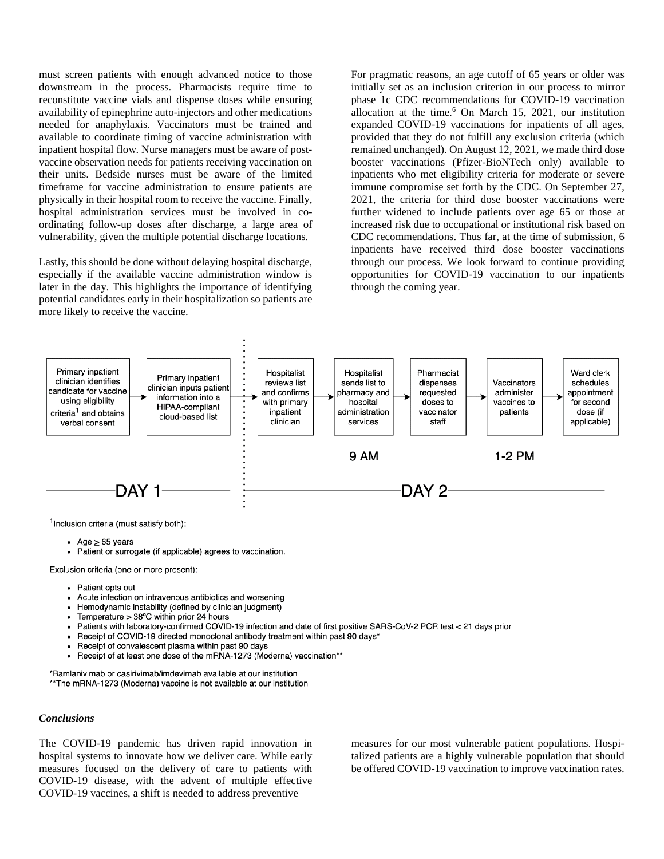must screen patients with enough advanced notice to those downstream in the process. Pharmacists require time to reconstitute vaccine vials and dispense doses while ensuring availability of epinephrine auto-injectors and other medications needed for anaphylaxis. Vaccinators must be trained and available to coordinate timing of vaccine administration with inpatient hospital flow. Nurse managers must be aware of postvaccine observation needs for patients receiving vaccination on their units. Bedside nurses must be aware of the limited timeframe for vaccine administration to ensure patients are physically in their hospital room to receive the vaccine. Finally, hospital administration services must be involved in coordinating follow-up doses after discharge, a large area of vulnerability, given the multiple potential discharge locations.

Lastly, this should be done without delaying hospital discharge, especially if the available vaccine administration window is later in the day. This highlights the importance of identifying potential candidates early in their hospitalization so patients are more likely to receive the vaccine.

For pragmatic reasons, an age cutoff of 65 years or older was initially set as an inclusion criterion in our process to mirror phase 1c CDC recommendations for COVID-19 vaccination allocation at the time.<sup>6</sup> On March 15, 2021, our institution expanded COVID-19 vaccinations for inpatients of all ages, provided that they do not fulfill any exclusion criteria (which remained unchanged). On August 12, 2021, we made third dose booster vaccinations (Pfizer-BioNTech only) available to inpatients who met eligibility criteria for moderate or severe immune compromise set forth by the CDC. On September 27, 2021, the criteria for third dose booster vaccinations were further widened to include patients over age 65 or those at increased risk due to occupational or institutional risk based on CDC recommendations. Thus far, at the time of submission, 6 inpatients have received third dose booster vaccinations through our process. We look forward to continue providing opportunities for COVID-19 vaccination to our inpatients through the coming year.



<sup>1</sup>Inclusion criteria (must satisfy both):

- $\bullet$  Age  $\geq$  65 years
- Patient or surrogate (if applicable) agrees to vaccination.
- Exclusion criteria (one or more present):
	- Patient opts out
	- Acute infection on intravenous antibiotics and worsening
	- Hemodynamic instability (defined by clinician judgment)
	- Temperature  $> 38^{\circ}$ C within prior 24 hours
	- Patients with laboratory-confirmed COVID-19 infection and date of first positive SARS-CoV-2 PCR test < 21 days prior
	- Receipt of COVID-19 directed monoclonal antibody treatment within past 90 days\*
	- Receipt of convalescent plasma within past 90 days
	- Receipt of at least one dose of the mRNA-1273 (Moderna) vaccination\*\*

\*Bamlanivimab or casirivimab/imdevimab available at our institution \*\* The mRNA-1273 (Moderna) vaccine is not available at our institution

#### *Conclusions*

The COVID-19 pandemic has driven rapid innovation in hospital systems to innovate how we deliver care. While early measures focused on the delivery of care to patients with COVID-19 disease, with the advent of multiple effective COVID-19 vaccines, a shift is needed to address preventive

measures for our most vulnerable patient populations. Hospitalized patients are a highly vulnerable population that should be offered COVID-19 vaccination to improve vaccination rates.